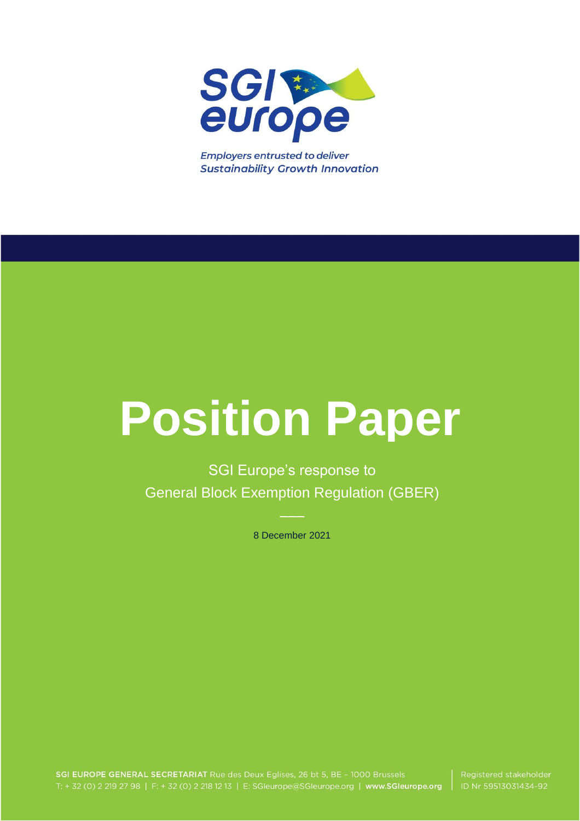

**Employers entrusted to deliver Sustainability Growth Innovation** 

# **Position Paper**

SGI Europe's response to General Block Exemption Regulation (GBER)

8 December 2021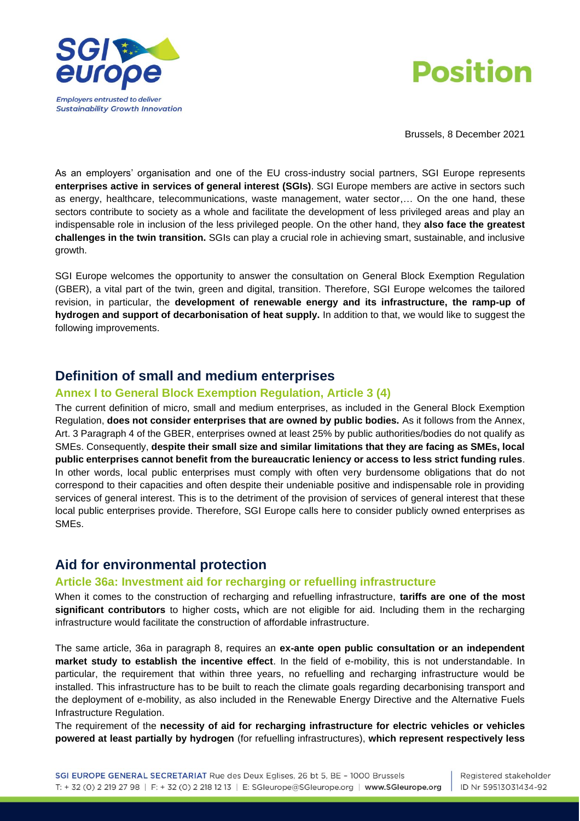



Brussels, 8 December 2021

As an employers' organisation and one of the EU cross-industry social partners, SGI Europe represents **enterprises active in services of general interest (SGIs)**. SGI Europe members are active in sectors such as energy, healthcare, telecommunications, waste management, water sector,… On the one hand, these sectors contribute to society as a whole and facilitate the development of less privileged areas and play an indispensable role in inclusion of the less privileged people. On the other hand, they **also face the greatest challenges in the twin transition.** SGIs can play a crucial role in achieving smart, sustainable, and inclusive growth.

SGI Europe welcomes the opportunity to answer the consultation on General Block Exemption Regulation (GBER), a vital part of the twin, green and digital, transition. Therefore, SGI Europe welcomes the tailored revision, in particular, the **development of renewable energy and its infrastructure, the ramp-up of hydrogen and support of decarbonisation of heat supply.** In addition to that, we would like to suggest the following improvements.

## **Definition of small and medium enterprises**

#### **Annex I to General Block Exemption Regulation, Article 3 (4)**

The current definition of micro, small and medium enterprises, as included in the General Block Exemption Regulation, **does not consider enterprises that are owned by public bodies.** As it follows from the Annex, Art. 3 Paragraph 4 of the GBER, enterprises owned at least 25% by public authorities/bodies do not qualify as SMEs. Consequently, **despite their small size and similar limitations that they are facing as SMEs, local public enterprises cannot benefit from the bureaucratic leniency or access to less strict funding rules**. In other words, local public enterprises must comply with often very burdensome obligations that do not correspond to their capacities and often despite their undeniable positive and indispensable role in providing services of general interest. This is to the detriment of the provision of services of general interest that these local public enterprises provide. Therefore, SGI Europe calls here to consider publicly owned enterprises as SMEs.

# **Aid for environmental protection**

#### **Article 36a: Investment aid for recharging or refuelling infrastructure**

When it comes to the construction of recharging and refuelling infrastructure, **tariffs are one of the most significant contributors** to higher costs**,** which are not eligible for aid. Including them in the recharging infrastructure would facilitate the construction of affordable infrastructure.

The same article, 36a in paragraph 8, requires an **ex-ante open public consultation or an independent market study to establish the incentive effect**. In the field of e-mobility, this is not understandable. In particular, the requirement that within three years, no refuelling and recharging infrastructure would be installed. This infrastructure has to be built to reach the climate goals regarding decarbonising transport and the deployment of e-mobility, as also included in the Renewable Energy Directive and the Alternative Fuels Infrastructure Regulation.

The requirement of the **necessity of aid for recharging infrastructure for electric vehicles or vehicles powered at least partially by hydrogen** (for refuelling infrastructures), **which represent respectively less**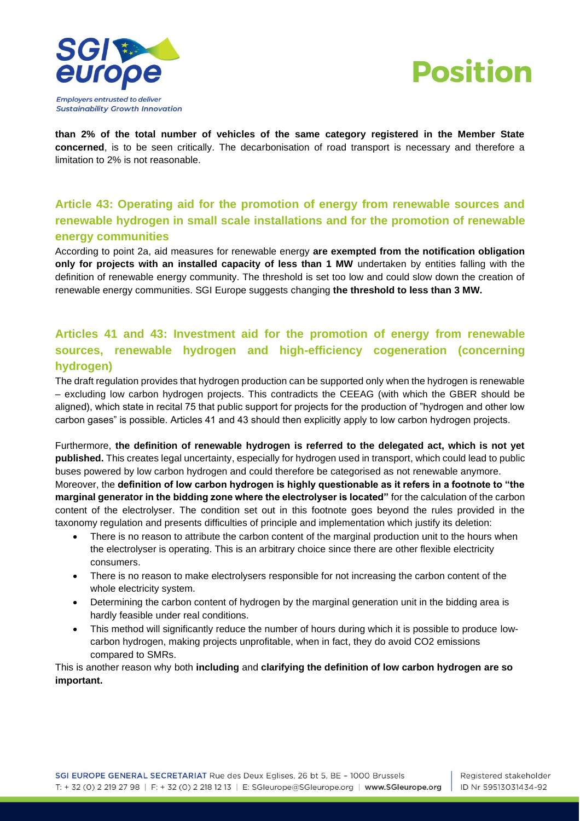



**than 2% of the total number of vehicles of the same category registered in the Member State concerned**, is to be seen critically. The decarbonisation of road transport is necessary and therefore a limitation to 2% is not reasonable.

## **Article 43: Operating aid for the promotion of energy from renewable sources and renewable hydrogen in small scale installations and for the promotion of renewable energy communities**

According to point 2a, aid measures for renewable energy **are exempted from the notification obligation only for projects with an installed capacity of less than 1 MW** undertaken by entities falling with the definition of renewable energy community. The threshold is set too low and could slow down the creation of renewable energy communities. SGI Europe suggests changing **the threshold to less than 3 MW.**

## **Articles 41 and 43: Investment aid for the promotion of energy from renewable sources, renewable hydrogen and high-efficiency cogeneration (concerning hydrogen)**

The draft regulation provides that hydrogen production can be supported only when the hydrogen is renewable – excluding low carbon hydrogen projects. This contradicts the CEEAG (with which the GBER should be aligned), which state in recital 75 that public support for projects for the production of "hydrogen and other low carbon gases" is possible. Articles 41 and 43 should then explicitly apply to low carbon hydrogen projects.

Furthermore, **the definition of renewable hydrogen is referred to the delegated act, which is not yet published.** This creates legal uncertainty, especially for hydrogen used in transport, which could lead to public buses powered by low carbon hydrogen and could therefore be categorised as not renewable anymore. Moreover, the **definition of low carbon hydrogen is highly questionable as it refers in a footnote to "the marginal generator in the bidding zone where the electrolyser is located"** for the calculation of the carbon content of the electrolyser. The condition set out in this footnote goes beyond the rules provided in the taxonomy regulation and presents difficulties of principle and implementation which justify its deletion:

- There is no reason to attribute the carbon content of the marginal production unit to the hours when the electrolyser is operating. This is an arbitrary choice since there are other flexible electricity consumers.
- There is no reason to make electrolysers responsible for not increasing the carbon content of the whole electricity system.
- Determining the carbon content of hydrogen by the marginal generation unit in the bidding area is hardly feasible under real conditions.
- This method will significantly reduce the number of hours during which it is possible to produce lowcarbon hydrogen, making projects unprofitable, when in fact, they do avoid CO2 emissions compared to SMRs.

This is another reason why both **including** and **clarifying the definition of low carbon hydrogen are so important.**